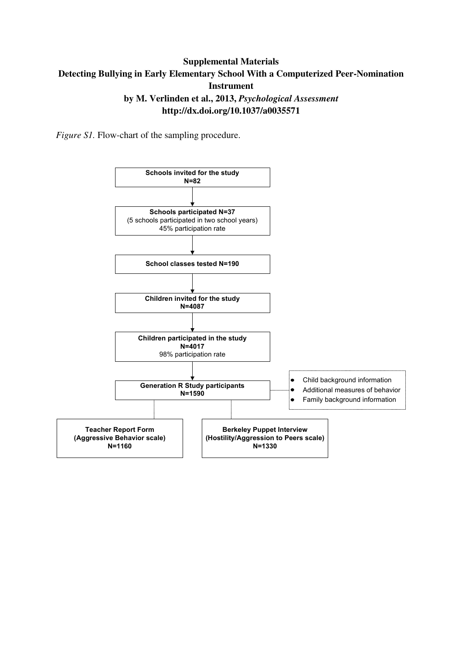### **Supplemental Materials Detecting Bullying in Early Elementary School With a Computerized Peer-Nomination Instrument by M. Verlinden et al., 2013,** *Psychological Assessment*  **http://dx.doi.org/10.1037/a0035571**

*Figure S1*. Flow-chart of the sampling procedure.

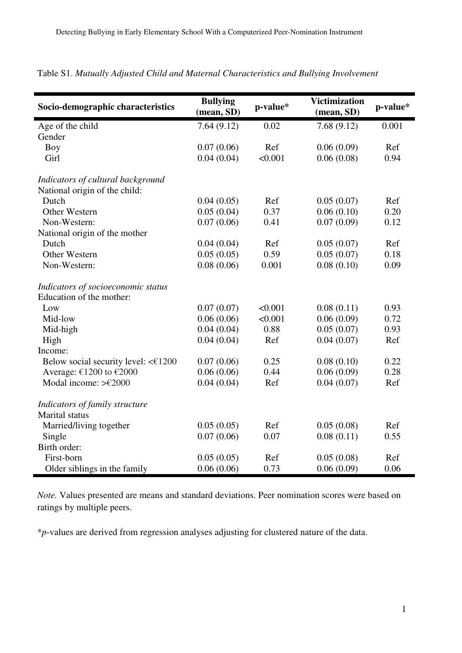| Socio-demographic characteristics   | <b>Bullying</b><br>(mean, SD) | p-value* | <b>Victimization</b><br>(mean, SD) | p-value* |
|-------------------------------------|-------------------------------|----------|------------------------------------|----------|
| Age of the child                    | 7.64(9.12)                    | 0.02     | 7.68(9.12)                         | 0.001    |
| Gender                              |                               |          |                                    |          |
| Boy                                 | 0.07(0.06)                    | Ref      | 0.06(0.09)                         | Ref      |
| Girl                                | 0.04(0.04)                    | < 0.001  | 0.06(0.08)                         | 0.94     |
| Indicators of cultural background   |                               |          |                                    |          |
| National origin of the child:       |                               |          |                                    |          |
| Dutch                               | 0.04(0.05)                    | Ref      | 0.05(0.07)                         | Ref      |
| <b>Other Western</b>                | 0.05(0.04)                    | 0.37     | 0.06(0.10)                         | 0.20     |
| Non-Western:                        | 0.07(0.06)                    | 0.41     | 0.07(0.09)                         | 0.12     |
| National origin of the mother       |                               |          |                                    |          |
| Dutch                               | 0.04(0.04)                    | Ref      | 0.05(0.07)                         | Ref      |
| Other Western                       | 0.05(0.05)                    | 0.59     | 0.05(0.07)                         | 0.18     |
| Non-Western:                        | 0.08(0.06)                    | 0.001    | 0.08(0.10)                         | 0.09     |
| Indicators of socioeconomic status  |                               |          |                                    |          |
| Education of the mother:            |                               |          |                                    |          |
| Low                                 | 0.07(0.07)                    | < 0.001  | 0.08(0.11)                         | 0.93     |
| Mid-low                             | 0.06(0.06)                    | < 0.001  | 0.06(0.09)                         | 0.72     |
| Mid-high                            | 0.04(0.04)                    | 0.88     | 0.05(0.07)                         | 0.93     |
| High                                | 0.04(0.04)                    | Ref      | 0.04(0.07)                         | Ref      |
| Income:                             |                               |          |                                    |          |
| Below social security level: <€1200 | 0.07(0.06)                    | 0.25     | 0.08(0.10)                         | 0.22     |
| Average: €1200 to €2000             | 0.06(0.06)                    | 0.44     | 0.06(0.09)                         | 0.28     |
| Modal income: $\geq$ £2000          | 0.04(0.04)                    | Ref      | 0.04(0.07)                         | Ref      |
| Indicators of family structure      |                               |          |                                    |          |
| Marital status                      |                               |          |                                    |          |
| Married/living together             | 0.05(0.05)                    | Ref      | 0.05(0.08)                         | Ref      |
| Single                              | 0.07(0.06)                    | 0.07     | 0.08(0.11)                         | 0.55     |
| Birth order:                        |                               |          |                                    |          |
| First-born                          | 0.05(0.05)                    | Ref      | 0.05(0.08)                         | Ref      |
| Older siblings in the family        | 0.06(0.06)                    | 0.73     | 0.06(0.09)                         | 0.06     |

## Table S1. *Mutually Adjusted Child and Maternal Characteristics and Bullying Involvement*

*Note.* Values presented are means and standard deviations. Peer nomination scores were based on ratings by multiple peers.

\**p*-values are derived from regression analyses adjusting for clustered nature of the data.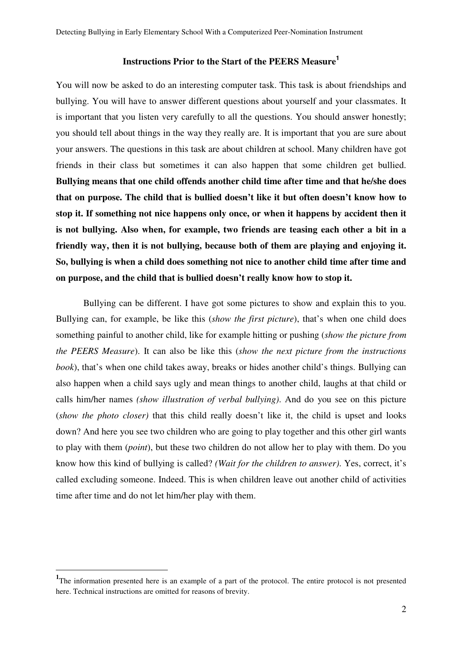# **Instructions Prior to the Start of the PEERS Measure 1**

You will now be asked to do an interesting computer task. This task is about friendships and bullying. You will have to answer different questions about yourself and your classmates. It is important that you listen very carefully to all the questions. You should answer honestly; you should tell about things in the way they really are. It is important that you are sure about your answers. The questions in this task are about children at school. Many children have got friends in their class but sometimes it can also happen that some children get bullied. **Bullying means that one child offends another child time after time and that he/she does that on purpose. The child that is bullied doesn't like it but often doesn't know how to stop it. If something not nice happens only once, or when it happens by accident then it is not bullying. Also when, for example, two friends are teasing each other a bit in a friendly way, then it is not bullying, because both of them are playing and enjoying it. So, bullying is when a child does something not nice to another child time after time and on purpose, and the child that is bullied doesn't really know how to stop it.**

Bullying can be different. I have got some pictures to show and explain this to you. Bullying can, for example, be like this (*show the first picture*), that's when one child does something painful to another child, like for example hitting or pushing (*show the picture from the PEERS Measure*). It can also be like this (*show the next picture from the instructions book*), that's when one child takes away, breaks or hides another child's things. Bullying can also happen when a child says ugly and mean things to another child, laughs at that child or calls him/her names *(show illustration of verbal bullying)*. And do you see on this picture (*show the photo closer)* that this child really doesn't like it, the child is upset and looks down? And here you see two children who are going to play together and this other girl wants to play with them (*point*), but these two children do not allow her to play with them. Do you know how this kind of bullying is called? *(Wait for the children to answer)*. Yes, correct, it's called excluding someone. Indeed. This is when children leave out another child of activities time after time and do not let him/her play with them.

 $\overline{a}$ 

<sup>&</sup>lt;sup>1</sup>The information presented here is an example of a part of the protocol. The entire protocol is not presented here. Technical instructions are omitted for reasons of brevity.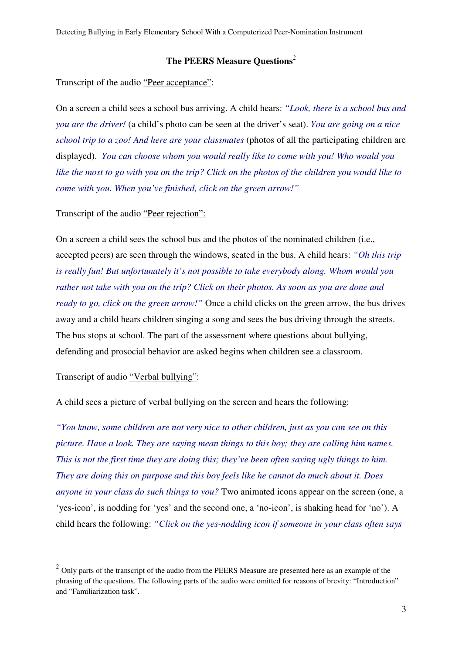#### **The PEERS Measure Questions**<sup>2</sup>

Transcript of the audio "Peer acceptance":

On a screen a child sees a school bus arriving. A child hears: *"Look, there is a school bus and you are the driver!* (a child's photo can be seen at the driver's seat). *You are going on a nice school trip to a zoo! And here are your classmates* (photos of all the participating children are displayed). *You can choose whom you would really like to come with you! Who would you like the most to go with you on the trip? Click on the photos of the children you would like to come with you. When you've finished, click on the green arrow!"* 

Transcript of the audio "Peer rejection":

On a screen a child sees the school bus and the photos of the nominated children (i.e., accepted peers) are seen through the windows, seated in the bus. A child hears: *"Oh this trip is really fun! But unfortunately it's not possible to take everybody along. Whom would you rather not take with you on the trip? Click on their photos. As soon as you are done and ready to go, click on the green arrow!"* Once a child clicks on the green arrow, the bus drives away and a child hears children singing a song and sees the bus driving through the streets. The bus stops at school. The part of the assessment where questions about bullying, defending and prosocial behavior are asked begins when children see a classroom.

Transcript of audio "Verbal bullying":

 $\overline{a}$ 

A child sees a picture of verbal bullying on the screen and hears the following:

*"You know, some children are not very nice to other children, just as you can see on this picture. Have a look. They are saying mean things to this boy; they are calling him names. This is not the first time they are doing this; they've been often saying ugly things to him. They are doing this on purpose and this boy feels like he cannot do much about it. Does anyone in your class do such things to you?* Two animated icons appear on the screen (one, a 'yes-icon', is nodding for 'yes' and the second one, a 'no-icon', is shaking head for 'no'). A child hears the following: *"Click on the yes-nodding icon if someone in your class often says* 

 $2$  Only parts of the transcript of the audio from the PEERS Measure are presented here as an example of the phrasing of the questions. The following parts of the audio were omitted for reasons of brevity: "Introduction" and "Familiarization task".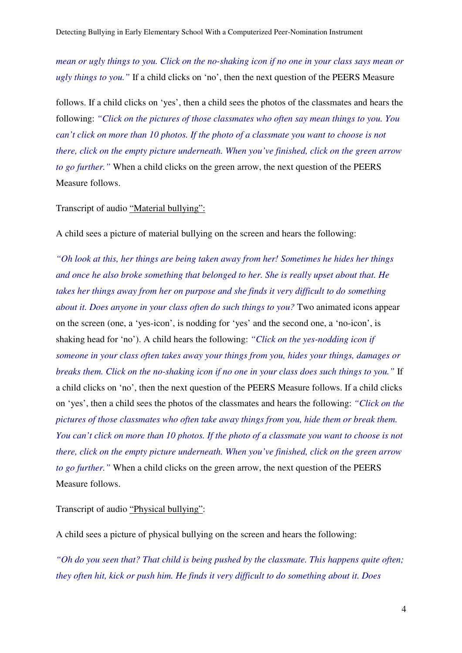*mean or ugly things to you. Click on the no-shaking icon if no one in your class says mean or ugly things to you."* If a child clicks on 'no', then the next question of the PEERS Measure

follows. If a child clicks on 'yes', then a child sees the photos of the classmates and hears the following: *"Click on the pictures of those classmates who often say mean things to you. You can't click on more than 10 photos. If the photo of a classmate you want to choose is not there, click on the empty picture underneath. When you've finished, click on the green arrow to go further.*" When a child clicks on the green arrow, the next question of the PEERS Measure follows.

#### Transcript of audio "Material bullying":

A child sees a picture of material bullying on the screen and hears the following:

*"Oh look at this, her things are being taken away from her! Sometimes he hides her things and once he also broke something that belonged to her. She is really upset about that. He takes her things away from her on purpose and she finds it very difficult to do something about it. Does anyone in your class often do such things to you?* Two animated icons appear on the screen (one, a 'yes-icon', is nodding for 'yes' and the second one, a 'no-icon', is shaking head for 'no'). A child hears the following: *"Click on the yes-nodding icon if someone in your class often takes away your things from you, hides your things, damages or breaks them. Click on the no-shaking icon if no one in your class does such things to you."* If a child clicks on 'no', then the next question of the PEERS Measure follows. If a child clicks on 'yes', then a child sees the photos of the classmates and hears the following: *"Click on the pictures of those classmates who often take away things from you, hide them or break them. You can't click on more than 10 photos. If the photo of a classmate you want to choose is not there, click on the empty picture underneath. When you've finished, click on the green arrow to go further.*" When a child clicks on the green arrow, the next question of the PEERS Measure follows.

Transcript of audio "Physical bullying":

A child sees a picture of physical bullying on the screen and hears the following:

*"Oh do you seen that? That child is being pushed by the classmate. This happens quite often; they often hit, kick or push him. He finds it very difficult to do something about it. Does*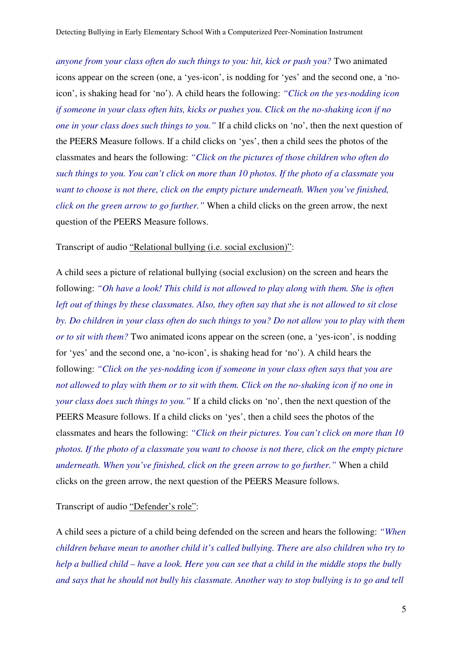*anyone from your class often do such things to you: hit, kick or push you?* Two animated icons appear on the screen (one, a 'yes-icon', is nodding for 'yes' and the second one, a 'noicon', is shaking head for 'no'). A child hears the following: *"Click on the yes-nodding icon if someone in your class often hits, kicks or pushes you. Click on the no-shaking icon if no one in your class does such things to you."* If a child clicks on 'no', then the next question of the PEERS Measure follows. If a child clicks on 'yes', then a child sees the photos of the classmates and hears the following: *"Click on the pictures of those children who often do such things to you. You can't click on more than 10 photos. If the photo of a classmate you want to choose is not there, click on the empty picture underneath. When you've finished, click on the green arrow to go further."* When a child clicks on the green arrow, the next question of the PEERS Measure follows.

#### Transcript of audio "Relational bullying (i.e. social exclusion)":

A child sees a picture of relational bullying (social exclusion) on the screen and hears the following: *"Oh have a look! This child is not allowed to play along with them. She is often left out of things by these classmates. Also, they often say that she is not allowed to sit close by. Do children in your class often do such things to you? Do not allow you to play with them or to sit with them?* Two animated icons appear on the screen (one, a 'yes-icon', is nodding for 'yes' and the second one, a 'no-icon', is shaking head for 'no'). A child hears the following: *"Click on the yes-nodding icon if someone in your class often says that you are not allowed to play with them or to sit with them. Click on the no-shaking icon if no one in your class does such things to you."* If a child clicks on 'no', then the next question of the PEERS Measure follows. If a child clicks on 'yes', then a child sees the photos of the classmates and hears the following: *"Click on their pictures. You can't click on more than 10 photos. If the photo of a classmate you want to choose is not there, click on the empty picture underneath. When you've finished, click on the green arrow to go further."* When a child clicks on the green arrow, the next question of the PEERS Measure follows.

Transcript of audio "Defender's role":

A child sees a picture of a child being defended on the screen and hears the following: *"When children behave mean to another child it's called bullying. There are also children who try to help a bullied child – have a look. Here you can see that a child in the middle stops the bully and says that he should not bully his classmate. Another way to stop bullying is to go and tell*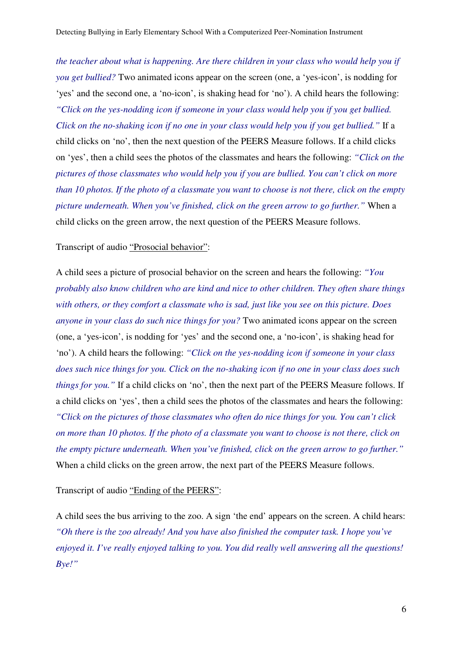*the teacher about what is happening. Are there children in your class who would help you if you get bullied?* Two animated icons appear on the screen (one, a 'yes-icon', is nodding for 'yes' and the second one, a 'no-icon', is shaking head for 'no'). A child hears the following: *"Click on the yes-nodding icon if someone in your class would help you if you get bullied. Click on the no-shaking icon if no one in your class would help you if you get bullied."* If a child clicks on 'no', then the next question of the PEERS Measure follows. If a child clicks on 'yes', then a child sees the photos of the classmates and hears the following: *"Click on the pictures of those classmates who would help you if you are bullied. You can't click on more than 10 photos. If the photo of a classmate you want to choose is not there, click on the empty picture underneath. When you've finished, click on the green arrow to go further."* When a child clicks on the green arrow, the next question of the PEERS Measure follows.

#### Transcript of audio "Prosocial behavior":

A child sees a picture of prosocial behavior on the screen and hears the following: *"You probably also know children who are kind and nice to other children. They often share things with others, or they comfort a classmate who is sad, just like you see on this picture. Does anyone in your class do such nice things for you?* Two animated icons appear on the screen (one, a 'yes-icon', is nodding for 'yes' and the second one, a 'no-icon', is shaking head for 'no'). A child hears the following: *"Click on the yes-nodding icon if someone in your class does such nice things for you. Click on the no-shaking icon if no one in your class does such things for you."* If a child clicks on 'no', then the next part of the PEERS Measure follows. If a child clicks on 'yes', then a child sees the photos of the classmates and hears the following: *"Click on the pictures of those classmates who often do nice things for you. You can't click on more than 10 photos. If the photo of a classmate you want to choose is not there, click on the empty picture underneath. When you've finished, click on the green arrow to go further."*  When a child clicks on the green arrow, the next part of the PEERS Measure follows.

#### Transcript of audio "Ending of the PEERS":

A child sees the bus arriving to the zoo. A sign 'the end' appears on the screen. A child hears: *"Oh there is the zoo already! And you have also finished the computer task. I hope you've enjoyed it. I've really enjoyed talking to you. You did really well answering all the questions! Bye!"*